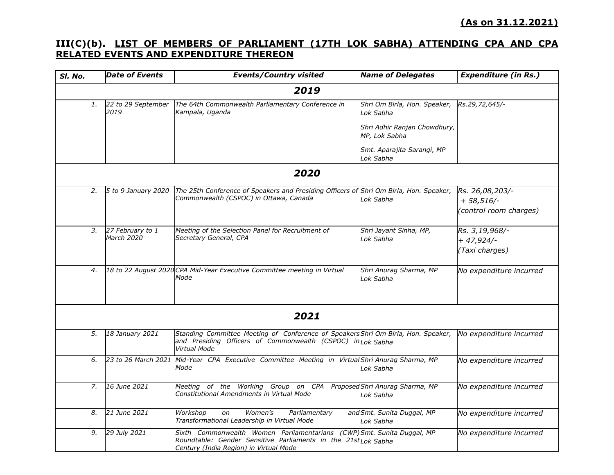## **III(C)(b). LIST OF MEMBERS OF PARLIAMENT (17TH LOK SABHA) ATTENDING CPA AND CPA RELATED EVENTS AND EXPENDITURE THEREON**

| SI. No. | <b>Date of Events</b>          | <b>Events/Country visited</b>                                                                                                                                                      | <b>Name of Delegates</b>                      | <b>Expenditure (in Rs.)</b>                                |  |  |  |
|---------|--------------------------------|------------------------------------------------------------------------------------------------------------------------------------------------------------------------------------|-----------------------------------------------|------------------------------------------------------------|--|--|--|
| 2019    |                                |                                                                                                                                                                                    |                                               |                                                            |  |  |  |
| 1.      | 22 to 29 September<br>2019     | The 64th Commonwealth Parliamentary Conference in<br>Kampala, Uganda                                                                                                               | Shri Om Birla, Hon. Speaker,<br>Lok Sabha     | Rs.29,72,645/-                                             |  |  |  |
|         |                                |                                                                                                                                                                                    | Shri Adhir Ranjan Chowdhury,<br>MP, Lok Sabha |                                                            |  |  |  |
|         |                                |                                                                                                                                                                                    | Smt. Aparajita Sarangi, MP<br>Lok Sabha       |                                                            |  |  |  |
| 2020    |                                |                                                                                                                                                                                    |                                               |                                                            |  |  |  |
| 2.      | 5 to 9 January 2020            | The 25th Conference of Speakers and Presiding Officers of Shri Om Birla, Hon. Speaker,<br>Commonwealth (CSPOC) in Ottawa, Canada                                                   | Lok Sabha                                     | Rs. 26,08,203/-<br>$+ 58,516/ -$<br>(control room charges) |  |  |  |
| 3.      | 27 February to 1<br>March 2020 | Meeting of the Selection Panel for Recruitment of<br>Secretary General, CPA                                                                                                        | Shri Jayant Sinha, MP,<br>Lok Sabha           | Rs. 3,19,968/-<br>$+47,924/-$<br>(Taxi charges)            |  |  |  |
| 4.      |                                | 18 to 22 August 2020 CPA Mid-Year Executive Committee meeting in Virtual<br>Mode                                                                                                   | Shri Anurag Sharma, MP<br>Lok Sabha           | No expenditure incurred                                    |  |  |  |
|         |                                | 2021                                                                                                                                                                               |                                               |                                                            |  |  |  |
| 5.      | 18 January 2021                | Standing Committee Meeting of Conference of SpeakersShri Om Birla, Hon. Speaker,<br>and Presiding Officers of Commonwealth (CSPOC) in Lok Sabha<br><b>Virtual Mode</b>             |                                               | No expenditure incurred                                    |  |  |  |
| 6.      | 23 to 26 March 2021            | Mid-Year CPA Executive Committee Meeting in Virtual Shri Anurag Sharma, MP<br>Mode                                                                                                 | Lok Sabha                                     | No expenditure incurred                                    |  |  |  |
| 7.      | 16 June 2021                   | Meeting of the Working Group on CPA ProposedShri Anurag Sharma, MP<br>Constitutional Amendments in Virtual Mode                                                                    | Lok Sabha                                     | No expenditure incurred                                    |  |  |  |
| 8.      | 21 June 2021                   | Women's<br>Workshop<br>Parliamentary<br>on<br>Transformational Leadership in Virtual Mode                                                                                          | and Smt. Sunita Duggal, MP<br>Lok Sabha       | No expenditure incurred                                    |  |  |  |
| 9.      | 29 July 2021                   | Sixth Commonwealth Women Parliamentarians (CWP) Smt. Sunita Duggal, MP<br>Roundtable: Gender Sensitive Parliaments in the 21st Lok Sabha<br>Century (India Region) in Virtual Mode |                                               | No expenditure incurred                                    |  |  |  |